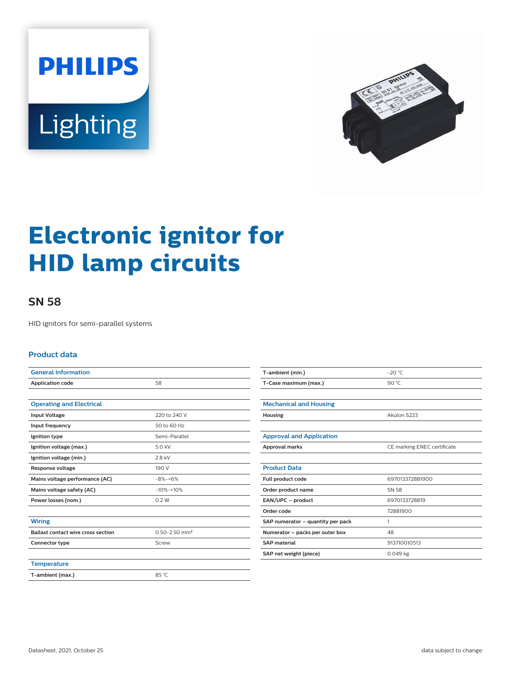



# **Electronic ignitor for HID lamp circuits**

## **SN 58**

HID ignitors for semi-parallel systems

#### **Product data**

| <b>General Information</b>                |                               |  |
|-------------------------------------------|-------------------------------|--|
| <b>Application code</b>                   | 58                            |  |
|                                           |                               |  |
| <b>Operating and Electrical</b>           |                               |  |
| <b>Input Voltage</b>                      | 220 to 240 V                  |  |
| Input frequency                           | 50 to 60 Hz                   |  |
| Ignition type                             | Semi-Parallel                 |  |
| Ignition voltage (max.)                   | 5.0 kV                        |  |
| Ignition voltage (min.)                   | 2.8 kV                        |  |
| Response voltage                          | 190 V                         |  |
| Mains voltage performance (AC)            | $-8% -+6%$                    |  |
| Mains voltage safety (AC)                 | $-10% -10%$                   |  |
| Power losses (nom.)                       | 0.2W                          |  |
|                                           |                               |  |
| <b>Wiring</b>                             |                               |  |
| <b>Ballast contact wire cross section</b> | $0.50 - 2.50$ mm <sup>2</sup> |  |
| Connector type                            | Screw                         |  |
|                                           |                               |  |
| <b>Temperature</b>                        |                               |  |
| T-ambient (max.)                          | 85 °C                         |  |

| T-ambient (min.)                  | $-20$ °C                    |
|-----------------------------------|-----------------------------|
| T-Case maximum (max.)             | 90 °C                       |
|                                   |                             |
| <b>Mechanical and Housing</b>     |                             |
| Housing                           | Akulon S223                 |
|                                   |                             |
| <b>Approval and Application</b>   |                             |
| <b>Approval marks</b>             | CE marking ENEC certificate |
|                                   |                             |
| <b>Product Data</b>               |                             |
| Full product code                 | 697013372881900             |
| Order product name                | SN 58                       |
| EAN/UPC - product                 | 6970133728819               |
| Order code                        | 72881900                    |
| SAP numerator - quantity per pack | 1                           |
| Numerator - packs per outer box   | 48                          |
| <b>SAP</b> material               | 913710010513                |
| SAP net weight (piece)            | $0.049$ kg                  |